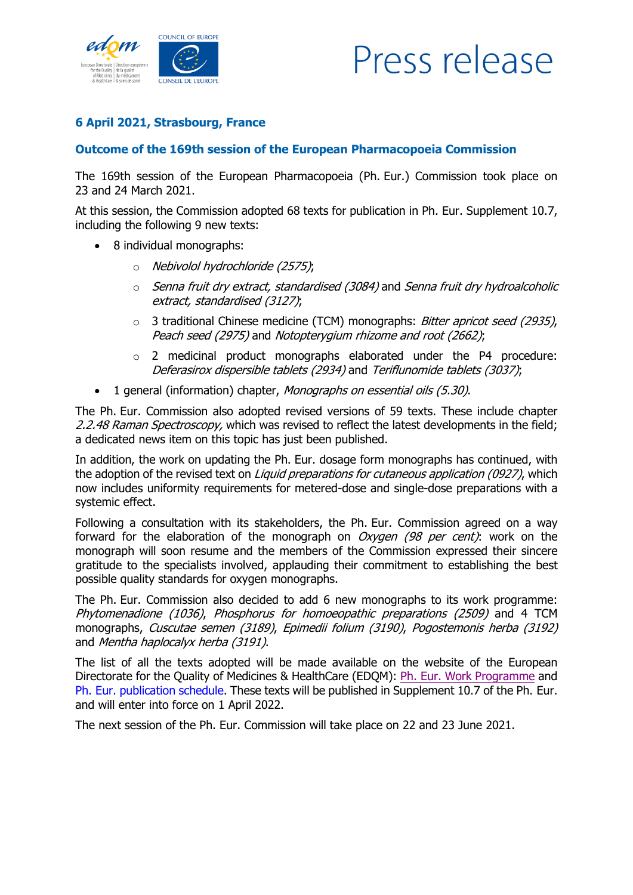

## Press release

## **6 April 2021, Strasbourg, France**

## **Outcome of the 169th session of the European Pharmacopoeia Commission**

The 169th session of the European Pharmacopoeia (Ph. Eur.) Commission took place on 23 and 24 March 2021.

At this session, the Commission adopted 68 texts for publication in Ph. Eur. Supplement 10.7, including the following 9 new texts:

- 8 individual monographs:
	- o Nebivolol hydrochloride (2575);
	- $\circ$  Senna fruit dry extract, standardised (3084) and Senna fruit dry hydroalcoholic extract, standardised (3127);
	- $\circ$  3 traditional Chinese medicine (TCM) monographs: *Bitter apricot seed (2935)*, Peach seed (2975) and Notopterygium rhizome and root (2662);
	- o 2 medicinal product monographs elaborated under the P4 procedure: Deferasirox dispersible tablets (2934) and Teriflunomide tablets (3037);
- 1 general (information) chapter, Monographs on essential oils (5.30).

The Ph. Eur. Commission also adopted revised versions of 59 texts. These include chapter 2.2.48 Raman Spectroscopy, which was revised to reflect the latest developments in the field; a dedicated news item on this topic has just been published.

In addition, the work on updating the Ph. Eur. dosage form monographs has continued, with the adoption of the revised text on *Liquid preparations for cutaneous application (0927)*, which now includes uniformity requirements for metered-dose and single-dose preparations with a systemic effect.

Following a consultation with its stakeholders, the Ph. Eur. Commission agreed on a way forward for the elaboration of the monograph on  $Oxygen$  (98 per cent): work on the monograph will soon resume and the members of the Commission expressed their sincere gratitude to the specialists involved, applauding their commitment to establishing the best possible quality standards for oxygen monographs.

The Ph. Eur. Commission also decided to add 6 new monographs to its work programme: Phytomenadione (1036), Phosphorus for homoeopathic preparations (2509) and 4 TCM monographs, Cuscutae semen (3189), Epimedii folium (3190), Pogostemonis herba (3192) and Mentha haplocalyx herba (3191).

The list of all the texts adopted will be made available on the website of the European Directorate for the Quality of Medicines & HealthCare (EDQM): Ph. [Eur. Work Programme](https://www.edqm.eu/en/european-pharmacopoeia-work-programme-607.html) and Ph. [Eur. publication schedule.](https://go.edqm.eu/pheur10Calendar) These texts will be published in Supplement 10.7 of the Ph. Eur. and will enter into force on 1 April 2022.

The next session of the Ph. Eur. Commission will take place on 22 and 23 June 2021.